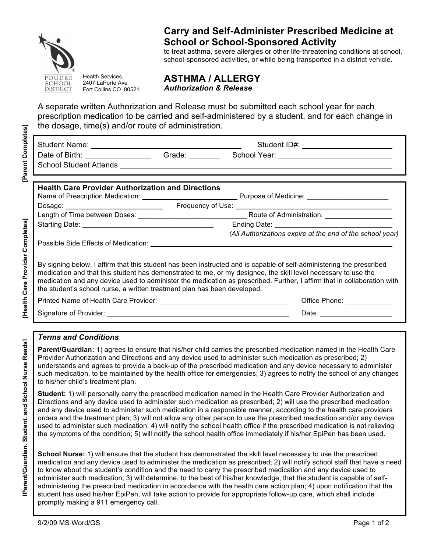

# **Carry and Self-Administer Prescribed Medicine at School or School-Sponsored Activity**

to treat asthma, severe allergies or other life-threatening conditions at school, school-sponsored activities, or while being transported in a district vehicle.

Health Services 2407 LaPorte Ave Fort Collins CO 80521

School Student Attends

**ASTHMA / ALLERGY** *Authorization & Release*

A separate written Authorization and Release must be submitted each school year for each prescription medication to be carried and self-administered by a student, and for each change in the dosage, time(s) and/or route of administration.

Student Name: Student ID#: \_\_\_\_\_\_\_\_\_\_\_\_\_\_\_\_\_\_\_\_ Date of Birth: Grade: Grade: School Year: Charles School Year: Charles School Year:

**[Health Care Provider Completes]**

[Health Care Provider Completes]

| <b>Health Care Provider Authorization and Directions</b>                 |                                                                                                                                                                                                                                       |  |
|--------------------------------------------------------------------------|---------------------------------------------------------------------------------------------------------------------------------------------------------------------------------------------------------------------------------------|--|
|                                                                          |                                                                                                                                                                                                                                       |  |
|                                                                          |                                                                                                                                                                                                                                       |  |
|                                                                          |                                                                                                                                                                                                                                       |  |
|                                                                          | (All Authorizations expire at the end of the school year)                                                                                                                                                                             |  |
|                                                                          |                                                                                                                                                                                                                                       |  |
|                                                                          |                                                                                                                                                                                                                                       |  |
| the student's school nurse, a written treatment plan has been developed. | By signing below, I affirm that this student has been instructed and is capable of self-administering the prescribed<br>medication and that this student has demonstrated to me, or my designee, the skill level necessary to use the |  |
|                                                                          | medication and any device used to administer the medication as prescribed. Further, I affirm that in collaboration with<br>Office Phone: _____________                                                                                |  |

## *Terms and Conditions*

**Parent/Guardian:** 1) agrees to ensure that his/her child carries the prescribed medication named in the Health Care Provider Authorization and Directions and any device used to administer such medication as prescribed; 2) understands and agrees to provide a back-up of the prescribed medication and any device necessary to administer such medication, to be maintained by the health office for emergencies; 3) agrees to notify the school of any changes to his/her child's treatment plan.

**Student:** 1) will personally carry the prescribed medication named in the Health Care Provider Authorization and Directions and any device used to administer such medication as prescribed; 2) will use the prescribed medication and any device used to administer such medication in a responsible manner, according to the health care providers orders and the treatment plan; 3) will not allow any other person to use the prescribed medication and/or any device used to administer such medication; 4) will notify the school health office if the prescribed medication is not relieving the symptoms of the condition; 5) will notify the school health office immediately if his/her EpiPen has been used.

**School Nurse:** 1) will ensure that the student has demonstrated the skill level necessary to use the prescribed medication and any device used to administer the medication as prescribed; 2) will notify school staff that have a need to know about the student's condition and the need to carry the prescribed medication and any device used to administer such medication; 3) will determine, to the best of his/her knowledge, that the student is capable of selfadministering the prescribed medication in accordance with the health care action plan; 4) upon notification that the student has used his/her EpiPen, will take action to provide for appropriate follow-up care, which shall include promptly making a 911 emergency call.